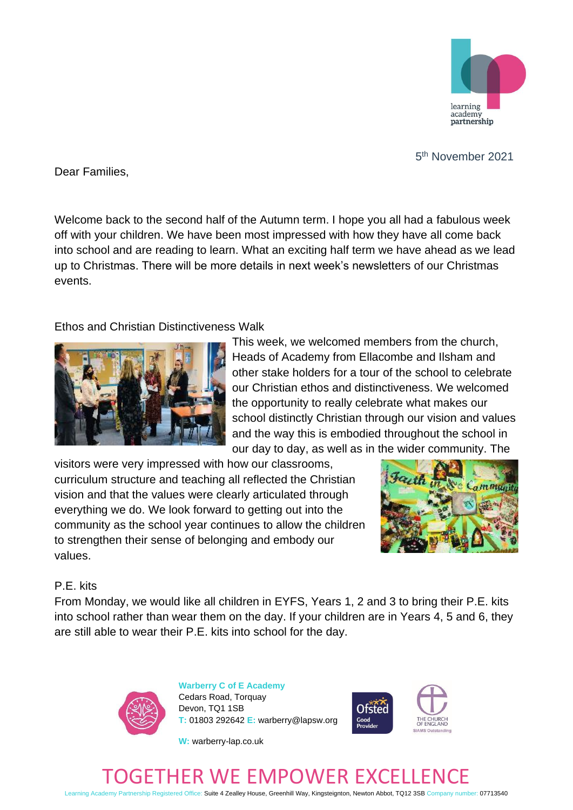

<u>53 and 2001 and 2001 and 2001 and 2001 and 2001 and 2001 and 2001 and 2001 and 2001 and 2001 and 2001 and 200</u> 5<sup>th</sup> November 2021

Dear Families,

Welcome back to the second half of the Autumn term. I hope you all had a fabulous week off with your children. We have been most impressed with how they have all come back into school and are reading to learn. What an exciting half term we have ahead as we lead up to Christmas. There will be more details in next week's newsletters of our Christmas events.

## Ethos and Christian Distinctiveness Walk



This week, we welcomed members from the church, Heads of Academy from Ellacombe and Ilsham and other stake holders for a tour of the school to celebrate our Christian ethos and distinctiveness. We welcomed the opportunity to really celebrate what makes our school distinctly Christian through our vision and values and the way this is embodied throughout the school in our day to day, as well as in the wider community. The

visitors were very impressed with how our classrooms, curriculum structure and teaching all reflected the Christian vision and that the values were clearly articulated through everything we do. We look forward to getting out into the community as the school year continues to allow the children to strengthen their sense of belonging and embody our values.



## P.E. kits

From Monday, we would like all children in EYFS, Years 1, 2 and 3 to bring their P.E. kits into school rather than wear them on the day. If your children are in Years 4, 5 and 6, they are still able to wear their P.E. kits into school for the day.



**Warberry C of E Academy** Cedars Road, Torquay Devon, TQ1 1SB **T:** 01803 292642 **E:** warberry@lapsw.org



**W:** warberry-lap.co.uk

## R WE EMPOWER EXC

Learning Academy Partnership Registered Office: Suite 4 Zealley House, Greenhill Way, Kingsteignton, Newton Abbot, TQ12 3SB Company number: 07713540